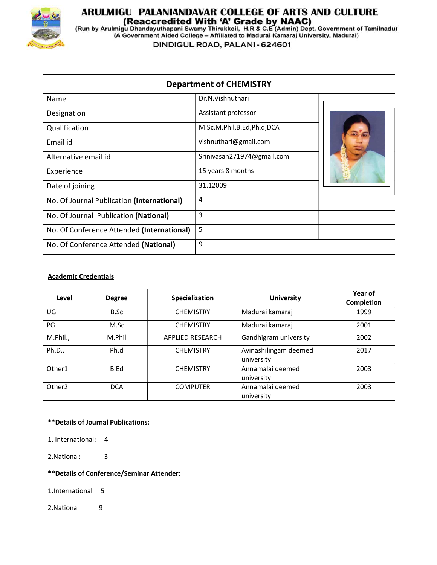

# **ARULMIGU PALANIANDAVAR COLLEGE OF ARTS AND CULTURE<br>(Reaccredited With 'A' Grade by NAAC)<br>(Run by Arulmigu Dhandayuthapani Swamy Thirukkoil, H.R & C.E (Admin) Dept. Government of Tamilnadu)<br>(A Government Aided College – Af**

DINDIGUL ROAD, PALANI - 624601

| <b>Department of CHEMISTRY</b>             |                            |  |  |
|--------------------------------------------|----------------------------|--|--|
| Name                                       | Dr.N.Vishnuthari           |  |  |
| Designation                                | Assistant professor        |  |  |
| Qualification                              | M.Sc,M.Phil,B.Ed,Ph.d,DCA  |  |  |
| Email id                                   | vishnuthari@gmail.com      |  |  |
| Alternative email id                       | Srinivasan271974@gmail.com |  |  |
| Experience                                 | 15 years 8 months          |  |  |
| Date of joining                            | 31.12009                   |  |  |
| No. Of Journal Publication (International) | 4                          |  |  |
| No. Of Journal Publication (National)      | 3                          |  |  |
| No. Of Conference Attended (International) | 5                          |  |  |
| No. Of Conference Attended (National)      | 9                          |  |  |

#### Academic Credentials

| Level              | <b>Degree</b> | Specialization          | <b>University</b>                   | Year of<br><b>Completion</b> |
|--------------------|---------------|-------------------------|-------------------------------------|------------------------------|
| UG                 | B.Sc          | <b>CHEMISTRY</b>        | Madurai kamaraj                     | 1999                         |
| PG                 | M.Sc          | <b>CHEMISTRY</b>        | Madurai kamaraj                     | 2001                         |
| M.Phil.,           | M.Phil        | <b>APPLIED RESEARCH</b> | Gandhigram university               | 2002                         |
| Ph.D.,             | Ph.d          | <b>CHEMISTRY</b>        | Avinashilingam deemed<br>university | 2017                         |
| Other1             | B.Ed          | <b>CHEMISTRY</b>        | Annamalai deemed<br>university      | 2003                         |
| Other <sub>2</sub> | <b>DCA</b>    | <b>COMPUTER</b>         | Annamalai deemed<br>university      | 2003                         |

#### \*\*Details of Journal Publications:

- 1. International: 4
- 2.National: 3

#### \*\*Details of Conference/Seminar Attender:

1.International 5

2.National 9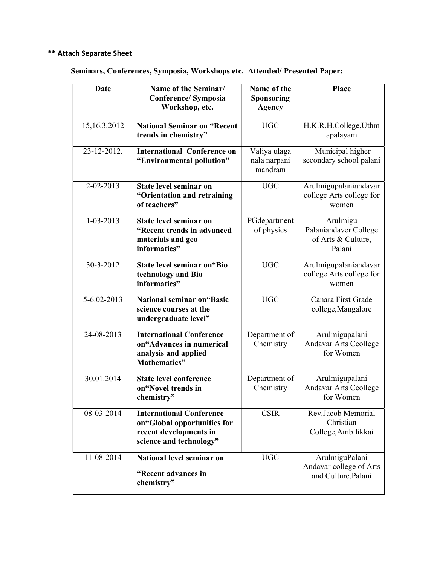## \*\* Attach Separate Sheet

### Seminars, Conferences, Symposia, Workshops etc. Attended/ Presented Paper:

| <b>Date</b>     | Name of the Seminar/<br><b>Conference/ Symposia</b><br>Workshop, etc.                                               | Name of the<br>Sponsoring<br><b>Agency</b> | Place                                                             |
|-----------------|---------------------------------------------------------------------------------------------------------------------|--------------------------------------------|-------------------------------------------------------------------|
| 15,16.3.2012    | <b>National Seminar on "Recent</b><br>trends in chemistry"                                                          | <b>UGC</b>                                 | H.K.R.H.College,Uthm<br>apalayam                                  |
| 23-12-2012.     | <b>International Conference on</b><br>"Environmental pollution"                                                     | Valiya ulaga<br>nala narpani<br>mandram    | Municipal higher<br>secondary school palani                       |
| 2-02-2013       | State level seminar on<br>"Orientation and retraining<br>of teachers"                                               | <b>UGC</b>                                 | Arulmigupalaniandavar<br>college Arts college for<br>women        |
| $1 - 03 - 2013$ | State level seminar on<br>"Recent trends in advanced<br>materials and geo<br>informatics"                           | PGdepartment<br>of physics                 | Arulmigu<br>Palaniandaver College<br>of Arts & Culture,<br>Palani |
| 30-3-2012       | <b>State level seminar on "Bio</b><br>technology and Bio<br>informatics"                                            | <b>UGC</b>                                 | Arulmigupalaniandavar<br>college Arts college for<br>women        |
| 5-6.02-2013     | <b>National seminar on "Basic</b><br>science courses at the<br>undergraduate level"                                 | <b>UGC</b>                                 | Canara First Grade<br>college, Mangalore                          |
| 24-08-2013      | <b>International Conference</b><br>on"Advances in numerical<br>analysis and applied<br>Mathematics"                 | Department of<br>Chemistry                 | Arulmigupalani<br>Andavar Arts Ccollege<br>for Women              |
| 30.01.2014      | <b>State level conference</b><br>on"Novel trends in<br>chemistry"                                                   | Department of<br>Chemistry                 | Arulmigupalani<br><b>Andavar Arts Ccollege</b><br>for Women       |
| 08-03-2014      | <b>International Conference</b><br>on"Global opportunities for<br>recent developments in<br>science and technology" | <b>CSIR</b>                                | Rev.Jacob Memorial<br>Christian<br>College, Ambilikkai            |
| 11-08-2014      | National level seminar on<br>"Recent advances in<br>chemistry"                                                      | <b>UGC</b>                                 | ArulmiguPalani<br>Andavar college of Arts<br>and Culture, Palani  |